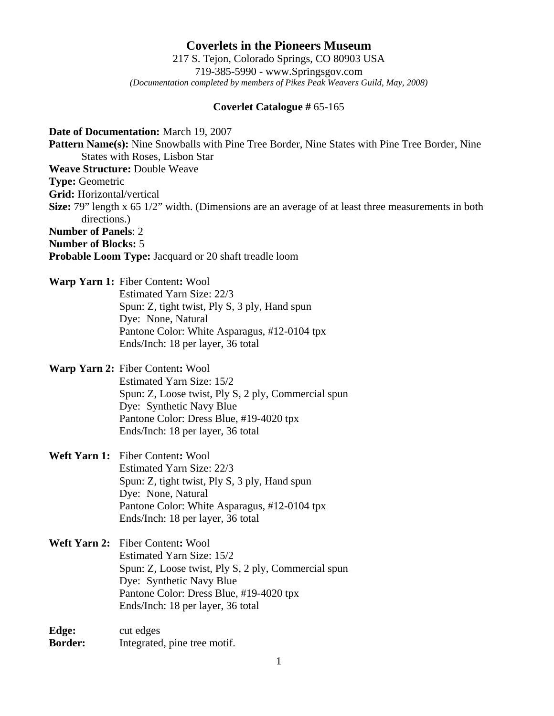**Coverlets in the Pioneers Museum** 217 S. Tejon, Colorado Springs, CO 80903 USA 719-385-5990 - www.Springsgov.com *(Documentation completed by members of Pikes Peak Weavers Guild, May, 2008)* 

## **Coverlet Catalogue #** 65-165

**Date of Documentation:** March 19, 2007 **Pattern Name(s):** Nine Snowballs with Pine Tree Border, Nine States with Pine Tree Border, Nine States with Roses, Lisbon Star **Weave Structure:** Double Weave **Type:** Geometric **Grid:** Horizontal/vertical **Size:** 79" length x 65 1/2" width. (Dimensions are an average of at least three measurements in both directions.) **Number of Panels**: 2 **Number of Blocks:** 5 **Probable Loom Type:** Jacquard or 20 shaft treadle loom

**Warp Yarn 1:** Fiber Content**:** Wool Estimated Yarn Size: 22/3 Spun: Z, tight twist, Ply S, 3 ply, Hand spun Dye: None, Natural Pantone Color: White Asparagus, #12-0104 tpx

**Warp Yarn 2:** Fiber Content**:** Wool Estimated Yarn Size: 15/2 Spun: Z, Loose twist, Ply S, 2 ply, Commercial spun Dye: Synthetic Navy Blue Pantone Color: Dress Blue, #19-4020 tpx Ends/Inch: 18 per layer, 36 total

Ends/Inch: 18 per layer, 36 total

**Weft Yarn 1:** Fiber Content**:** Wool Estimated Yarn Size: 22/3 Spun: Z, tight twist, Ply S, 3 ply, Hand spun Dye: None, Natural Pantone Color: White Asparagus, #12-0104 tpx Ends/Inch: 18 per layer, 36 total

**Weft Yarn 2:** Fiber Content**:** Wool Estimated Yarn Size: 15/2 Spun: Z, Loose twist, Ply S, 2 ply, Commercial spun Dye: Synthetic Navy Blue Pantone Color: Dress Blue, #19-4020 tpx Ends/Inch: 18 per layer, 36 total

**Edge:** cut edges **Border:** Integrated, pine tree motif.